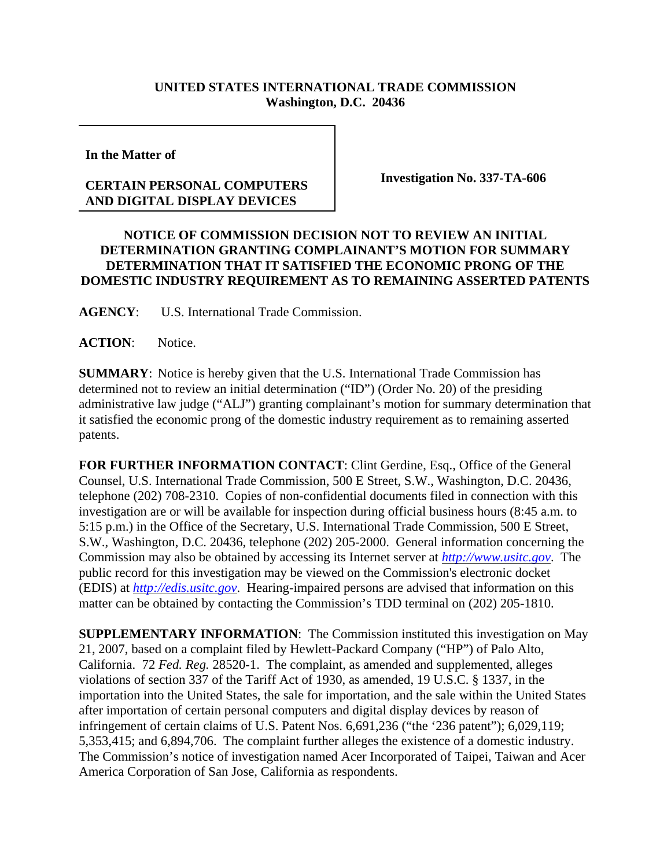## **UNITED STATES INTERNATIONAL TRADE COMMISSION Washington, D.C. 20436**

**In the Matter of** 

## **CERTAIN PERSONAL COMPUTERS AND DIGITAL DISPLAY DEVICES**

**Investigation No. 337-TA-606**

## **NOTICE OF COMMISSION DECISION NOT TO REVIEW AN INITIAL DETERMINATION GRANTING COMPLAINANT'S MOTION FOR SUMMARY DETERMINATION THAT IT SATISFIED THE ECONOMIC PRONG OF THE DOMESTIC INDUSTRY REQUIREMENT AS TO REMAINING ASSERTED PATENTS**

**AGENCY**: U.S. International Trade Commission.

ACTION: Notice.

**SUMMARY**: Notice is hereby given that the U.S. International Trade Commission has determined not to review an initial determination ("ID") (Order No. 20) of the presiding administrative law judge ("ALJ") granting complainant's motion for summary determination that it satisfied the economic prong of the domestic industry requirement as to remaining asserted patents.

**FOR FURTHER INFORMATION CONTACT**: Clint Gerdine, Esq., Office of the General Counsel, U.S. International Trade Commission, 500 E Street, S.W., Washington, D.C. 20436, telephone (202) 708-2310. Copies of non-confidential documents filed in connection with this investigation are or will be available for inspection during official business hours (8:45 a.m. to 5:15 p.m.) in the Office of the Secretary, U.S. International Trade Commission, 500 E Street, S.W., Washington, D.C. 20436, telephone (202) 205-2000. General information concerning the Commission may also be obtained by accessing its Internet server at *http://www.usitc.gov*. The public record for this investigation may be viewed on the Commission's electronic docket (EDIS) at *http://edis.usitc.gov*. Hearing-impaired persons are advised that information on this matter can be obtained by contacting the Commission's TDD terminal on (202) 205-1810.

**SUPPLEMENTARY INFORMATION**: The Commission instituted this investigation on May 21, 2007, based on a complaint filed by Hewlett-Packard Company ("HP") of Palo Alto, California. 72 *Fed. Reg.* 28520-1. The complaint, as amended and supplemented, alleges violations of section 337 of the Tariff Act of 1930, as amended, 19 U.S.C. § 1337, in the importation into the United States, the sale for importation, and the sale within the United States after importation of certain personal computers and digital display devices by reason of infringement of certain claims of U.S. Patent Nos. 6,691,236 ("the '236 patent"); 6,029,119; 5,353,415; and 6,894,706. The complaint further alleges the existence of a domestic industry. The Commission's notice of investigation named Acer Incorporated of Taipei, Taiwan and Acer America Corporation of San Jose, California as respondents.